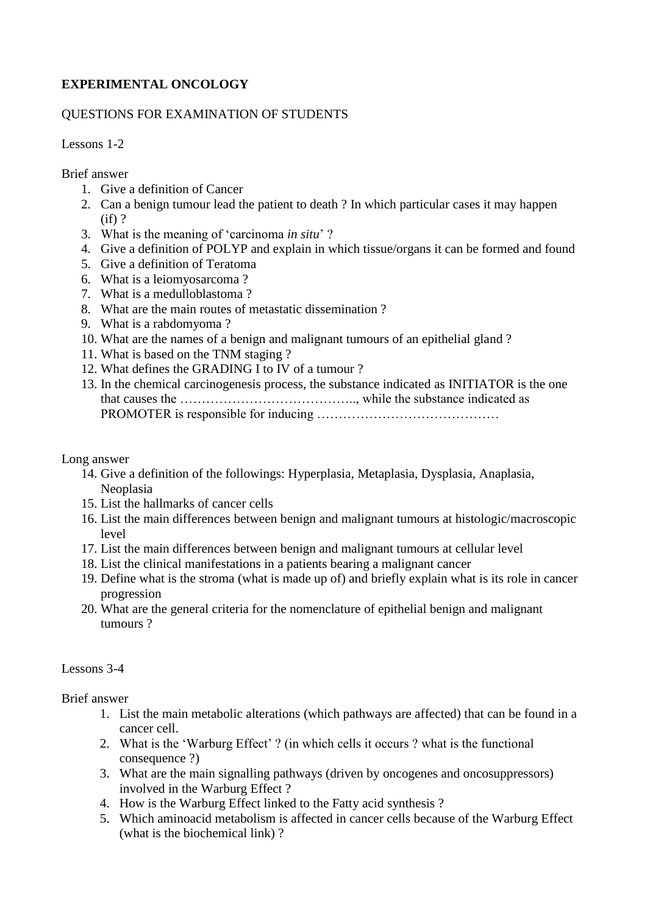## **EXPERIMENTAL ONCOLOGY**

## QUESTIONS FOR EXAMINATION OF STUDENTS

Lessons 1-2

Brief answer

- 1. Give a definition of Cancer
- 2. Can a benign tumour lead the patient to death ? In which particular cases it may happen (if) ?
- 3. What is the meaning of 'carcinoma *in situ*' ?
- 4. Give a definition of POLYP and explain in which tissue/organs it can be formed and found
- 5. Give a definition of Teratoma
- 6. What is a leiomyosarcoma ?
- 7. What is a medulloblastoma ?
- 8. What are the main routes of metastatic dissemination ?
- 9. What is a rabdomyoma ?
- 10. What are the names of a benign and malignant tumours of an epithelial gland ?
- 11. What is based on the TNM staging ?
- 12. What defines the GRADING I to IV of a tumour ?
- 13. In the chemical carcinogenesis process, the substance indicated as INITIATOR is the one that causes the ………………………………….., while the substance indicated as PROMOTER is responsible for inducing ……………………………………

Long answer

- 14. Give a definition of the followings: Hyperplasia, Metaplasia, Dysplasia, Anaplasia, Neoplasia
- 15. List the hallmarks of cancer cells
- 16. List the main differences between benign and malignant tumours at histologic/macroscopic level
- 17. List the main differences between benign and malignant tumours at cellular level
- 18. List the clinical manifestations in a patients bearing a malignant cancer
- 19. Define what is the stroma (what is made up of) and briefly explain what is its role in cancer progression
- 20. What are the general criteria for the nomenclature of epithelial benign and malignant tumours ?

## Lessons 3-4

Brief answer

- 1. List the main metabolic alterations (which pathways are affected) that can be found in a cancer cell.
- 2. What is the 'Warburg Effect' ? (in which cells it occurs ? what is the functional consequence ?)
- 3. What are the main signalling pathways (driven by oncogenes and oncosuppressors) involved in the Warburg Effect ?
- 4. How is the Warburg Effect linked to the Fatty acid synthesis ?
- 5. Which aminoacid metabolism is affected in cancer cells because of the Warburg Effect (what is the biochemical link) ?